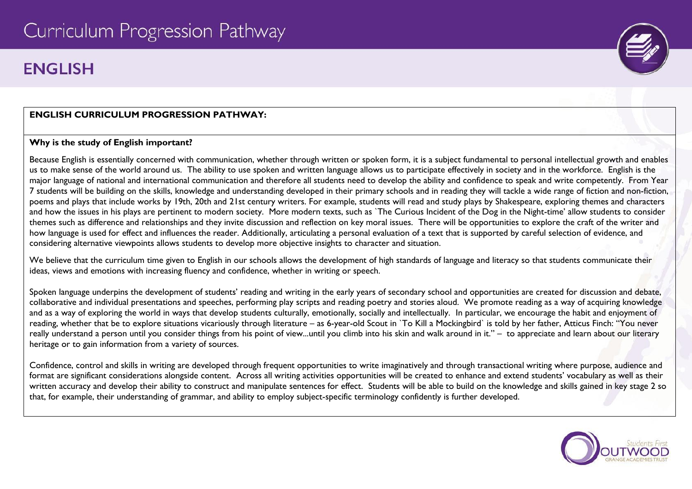# **FNGI ISH**

## **ENGLISH CURRICULUM PROGRESSION PATHWAY:**

## **Why is the study of English important?**

Because English is essentially concerned with communication, whether through written or spoken form, it is a subject fundamental to personal intellectual growth and enables us to make sense of the world around us. The ability to use spoken and written language allows us to participate effectively in society and in the workforce. English is the major language of national and international communication and therefore all students need to develop the ability and confidence to speak and write competently. From Year 7 students will be building on the skills, knowledge and understanding developed in their primary schools and in reading they will tackle a wide range of fiction and non-fiction, poems and plays that include works by 19th, 20th and 21st century writers. For example, students will read and study plays by Shakespeare, exploring themes and characters and how the issues in his plays are pertinent to modern society. More modern texts, such as `The Curious Incident of the Dog in the Night-time' allow students to consider themes such as difference and relationships and they invite discussion and reflection on key moral issues. There will be opportunities to explore the craft of the writer and how language is used for effect and influences the reader. Additionally, articulating a personal evaluation of a text that is supported by careful selection of evidence, and considering alternative viewpoints allows students to develop more objective insights to character and situation.

We believe that the curriculum time given to English in our schools allows the development of high standards of language and literacy so that students communicate their ideas, views and emotions with increasing fluency and confidence, whether in writing or speech.

Spoken language underpins the development of students' reading and writing in the early years of secondary school and opportunities are created for discussion and debate, collaborative and individual presentations and speeches, performing play scripts and reading poetry and stories aloud. We promote reading as a way of acquiring knowledge and as a way of exploring the world in ways that develop students culturally, emotionally, socially and intellectually. In particular, we encourage the habit and enjoyment of reading, whether that be to explore situations vicariously through literature – as 6-year-old Scout in `To Kill a Mockingbird` is told by her father, Atticus Finch: "You never really understand a person until you consider things from his point of view...until you climb into his skin and walk around in it." – to appreciate and learn about our literary heritage or to gain information from a variety of sources.

Confidence, control and skills in writing are developed through frequent opportunities to write imaginatively and through transactional writing where purpose, audience and format are significant considerations alongside content. Across all writing activities opportunities will be created to enhance and extend students' vocabulary as well as their written accuracy and develop their ability to construct and manipulate sentences for effect. Students will be able to build on the knowledge and skills gained in key stage 2 so that, for example, their understanding of grammar, and ability to employ subject-specific terminology confidently is further developed.



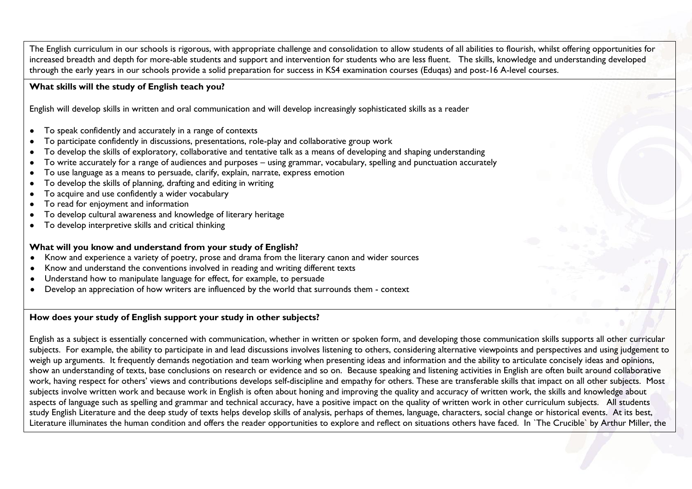The English curriculum in our schools is rigorous, with appropriate challenge and consolidation to allow students of all abilities to flourish, whilst offering opportunities for increased breadth and depth for more-able students and support and intervention for students who are less fluent. The skills, knowledge and understanding developed through the early years in our schools provide a solid preparation for success in KS4 examination courses (Eduqas) and post-16 A-level courses.

#### **What skills will the study of English teach you?**

English will develop skills in written and oral communication and will develop increasingly sophisticated skills as a reader

- To speak confidently and accurately in a range of contexts
- To participate confidently in discussions, presentations, role-play and collaborative group work
- To develop the skills of exploratory, collaborative and tentative talk as a means of developing and shaping understanding
- To write accurately for a range of audiences and purposes using grammar, vocabulary, spelling and punctuation accurately
- To use language as a means to persuade, clarify, explain, narrate, express emotion
- To develop the skills of planning, drafting and editing in writing
- To acquire and use confidently a wider vocabulary
- To read for enjoyment and information
- To develop cultural awareness and knowledge of literary heritage
- To develop interpretive skills and critical thinking

#### **What will you know and understand from your study of English?**

- Know and experience a variety of poetry, prose and drama from the literary canon and wider sources
- Know and understand the conventions involved in reading and writing different texts
- Understand how to manipulate language for effect, for example, to persuade
- Develop an appreciation of how writers are influenced by the world that surrounds them context

## **How does your study of English support your study in other subjects?**

English as a subject is essentially concerned with communication, whether in written or spoken form, and developing those communication skills supports all other curricular subjects. For example, the ability to participate in and lead discussions involves listening to others, considering alternative viewpoints and perspectives and using judgement to weigh up arguments. It frequently demands negotiation and team working when presenting ideas and information and the ability to articulate concisely ideas and opinions, show an understanding of texts, base conclusions on research or evidence and so on. Because speaking and listening activities in English are often built around collaborative work, having respect for others' views and contributions develops self-discipline and empathy for others. These are transferable skills that impact on all other subjects. Most subjects involve written work and because work in English is often about honing and improving the quality and accuracy of written work, the skills and knowledge about aspects of language such as spelling and grammar and technical accuracy, have a positive impact on the quality of written work in other curriculum subjects. All students study English Literature and the deep study of texts helps develop skills of analysis, perhaps of themes, language, characters, social change or historical events. At its best, Literature illuminates the human condition and offers the reader opportunities to explore and reflect on situations others have faced. In `The Crucible` by Arthur Miller, the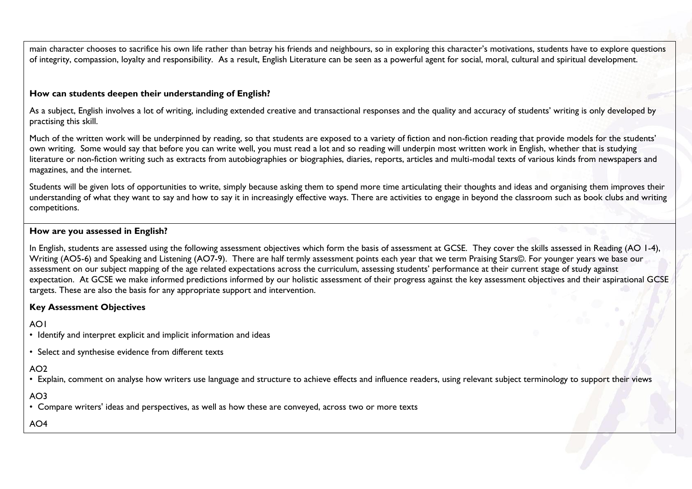main character chooses to sacrifice his own life rather than betray his friends and neighbours, so in exploring this character's motivations, students have to explore questions of integrity, compassion, loyalty and responsibility. As a result, English Literature can be seen as a powerful agent for social, moral, cultural and spiritual development.

#### **How can students deepen their understanding of English?**

As a subject, English involves a lot of writing, including extended creative and transactional responses and the quality and accuracy of students' writing is only developed by practising this skill.

Much of the written work will be underpinned by reading, so that students are exposed to a variety of fiction and non-fiction reading that provide models for the students' own writing. Some would say that before you can write well, you must read a lot and so reading will underpin most written work in English, whether that is studying literature or non-fiction writing such as extracts from autobiographies or biographies, diaries, reports, articles and multi-modal texts of various kinds from newspapers and magazines, and the internet.

Students will be given lots of opportunities to write, simply because asking them to spend more time articulating their thoughts and ideas and organising them improves their understanding of what they want to say and how to say it in increasingly effective ways. There are activities to engage in beyond the classroom such as book clubs and writing competitions.

#### **How are you assessed in English?**

In English, students are assessed using the following assessment objectives which form the basis of assessment at GCSE. They cover the skills assessed in Reading (AO 1-4), Writing (AO5-6) and Speaking and Listening (AO7-9). There are half termly assessment points each year that we term Praising Stars©. For younger years we base our assessment on our subject mapping of the age related expectations across the curriculum, assessing students' performance at their current stage of study against expectation. At GCSE we make informed predictions informed by our holistic assessment of their progress against the key assessment objectives and their aspirational GCSE targets. These are also the basis for any appropriate support and intervention.

## **Key Assessment Objectives**

# AO1

- Identify and interpret explicit and implicit information and ideas
- Select and synthesise evidence from different texts

## AO2

• Explain, comment on analyse how writers use language and structure to achieve effects and influence readers, using relevant subject terminology to support their views

# AO3

• Compare writers' ideas and perspectives, as well as how these are conveyed, across two or more texts

 $AO4$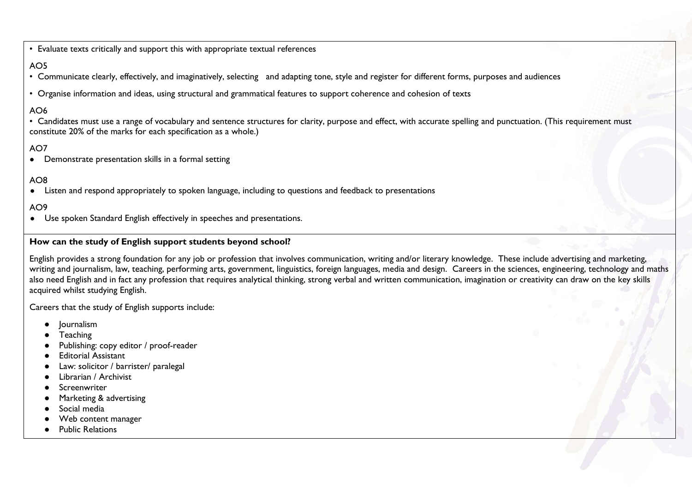• Evaluate texts critically and support this with appropriate textual references

# AO5

- Communicate clearly, effectively, and imaginatively, selecting and adapting tone, style and register for different forms, purposes and audiences
- Organise information and ideas, using structural and grammatical features to support coherence and cohesion of texts

# AO6

• Candidates must use a range of vocabulary and sentence structures for clarity, purpose and effect, with accurate spelling and punctuation. (This requirement must constitute 20% of the marks for each specification as a whole.)

# AO7

● Demonstrate presentation skills in a formal setting

# AO8

● Listen and respond appropriately to spoken language, including to questions and feedback to presentations

## AO9

● Use spoken Standard English effectively in speeches and presentations.

#### **How can the study of English support students beyond school?**

English provides a strong foundation for any job or profession that involves communication, writing and/or literary knowledge. These include advertising and marketing, writing and journalism, law, teaching, performing arts, government, linguistics, foreign languages, media and design. Careers in the sciences, engineering, technology and maths also need English and in fact any profession that requires analytical thinking, strong verbal and written communication, imagination or creativity can draw on the key skills acquired whilst studying English.

Careers that the study of English supports include:

- **Journalism**
- **Teaching**
- Publishing: copy editor / proof-reader
- **Editorial Assistant**
- Law: solicitor / barrister/ paralegal
- Librarian / Archivist
- **Screenwriter**
- Marketing & advertising
- Social media
- Web content manager
- **Public Relations**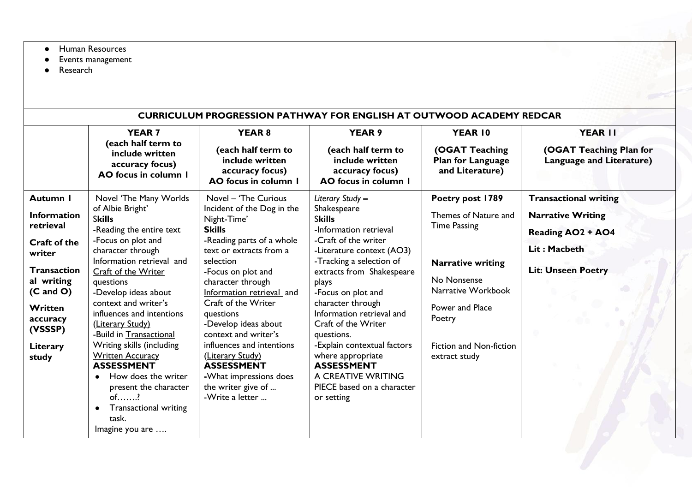- Human Resources
- Events management
- Research

| <b>CURRICULUM PROGRESSION PATHWAY FOR ENGLISH AT OUTWOOD ACADEMY REDCAR</b>                                                                                                              |                                                                                                                                                                                                                                                                                                                                                                                                                                                                                                                                                                     |                                                                                                                                                                                                                                                                                                                                                                                                                                                              |                                                                                                                                                                                                                                                                                                                                                                                                                                                           |                                                                                                                                                                                                           |                                                                                                                                   |  |
|------------------------------------------------------------------------------------------------------------------------------------------------------------------------------------------|---------------------------------------------------------------------------------------------------------------------------------------------------------------------------------------------------------------------------------------------------------------------------------------------------------------------------------------------------------------------------------------------------------------------------------------------------------------------------------------------------------------------------------------------------------------------|--------------------------------------------------------------------------------------------------------------------------------------------------------------------------------------------------------------------------------------------------------------------------------------------------------------------------------------------------------------------------------------------------------------------------------------------------------------|-----------------------------------------------------------------------------------------------------------------------------------------------------------------------------------------------------------------------------------------------------------------------------------------------------------------------------------------------------------------------------------------------------------------------------------------------------------|-----------------------------------------------------------------------------------------------------------------------------------------------------------------------------------------------------------|-----------------------------------------------------------------------------------------------------------------------------------|--|
|                                                                                                                                                                                          | <b>YEAR 7</b><br>(each half term to<br>include written<br>accuracy focus)<br>AO focus in column I                                                                                                                                                                                                                                                                                                                                                                                                                                                                   | <b>YEAR 8</b><br>(each half term to<br>include written<br>accuracy focus)<br>AO focus in column 1                                                                                                                                                                                                                                                                                                                                                            | <b>YEAR 9</b><br>(each half term to<br>include written<br>accuracy focus)<br>AO focus in column 1                                                                                                                                                                                                                                                                                                                                                         | YEAR 10<br>(OGAT Teaching<br>Plan for Language<br>and Literature)                                                                                                                                         | YEAR II<br>(OGAT Teaching Plan for<br><b>Language and Literature)</b>                                                             |  |
| Autumn I<br><b>Information</b><br>retrieval<br>Craft of the<br>writer<br><b>Transaction</b><br>al writing<br>$(C \text{ and } O)$<br>Written<br>accuracy<br>(VSSSP)<br>Literary<br>study | Novel 'The Many Worlds<br>of Albie Bright'<br><b>Skills</b><br>-Reading the entire text<br>-Focus on plot and<br>character through<br>Information retrieval and<br>Craft of the Writer<br>questions<br>-Develop ideas about<br>context and writer's<br>influences and intentions<br>(Literary Study)<br>-Build in Transactional<br><b>Writing skills (including</b><br><b>Written Accuracy</b><br><b>ASSESSMENT</b><br>How does the writer<br>$\bullet$<br>present the character<br>$of$ ?<br><b>Transactional writing</b><br>$\bullet$<br>task.<br>Imagine you are | Novel - 'The Curious<br>Incident of the Dog in the<br>Night-Time'<br><b>Skills</b><br>-Reading parts of a whole<br>text or extracts from a<br>selection<br>-Focus on plot and<br>character through<br>Information retrieval and<br>Craft of the Writer<br>questions<br>-Develop ideas about<br>context and writer's<br>influences and intentions<br>(Literary Study)<br><b>ASSESSMENT</b><br>-What impressions does<br>the writer give of<br>-Write a letter | Literary Study -<br>Shakespeare<br><b>Skills</b><br>-Information retrieval<br>-Craft of the writer<br>-Literature context (AO3)<br>-Tracking a selection of<br>extracts from Shakespeare<br>plays<br>-Focus on plot and<br>character through<br>Information retrieval and<br>Craft of the Writer<br>questions.<br>-Explain contextual factors<br>where appropriate<br><b>ASSESSMENT</b><br>A CREATIVE WRITING<br>PIECE based on a character<br>or setting | Poetry post 1789<br>Themes of Nature and<br><b>Time Passing</b><br><b>Narrative writing</b><br>No Nonsense<br>Narrative Workbook<br>Power and Place<br>Poetry<br>Fiction and Non-fiction<br>extract study | <b>Transactional writing</b><br><b>Narrative Writing</b><br><b>Reading AO2 + AO4</b><br>Lit: Macbeth<br><b>Lit: Unseen Poetry</b> |  |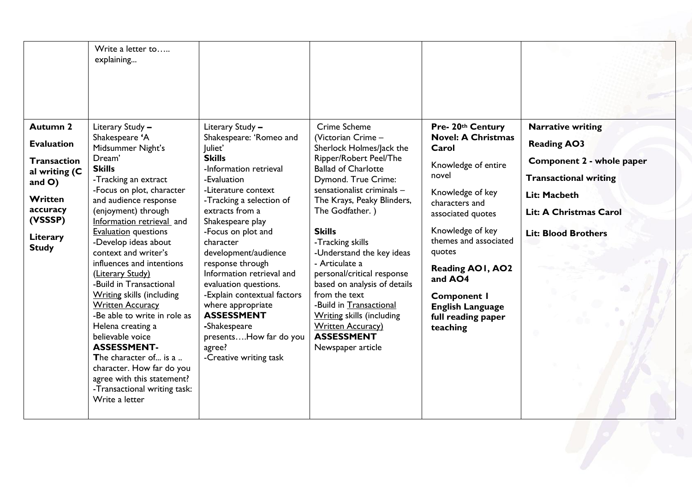|                                                                                                                                                               | Write a letter to<br>explaining                                                                                                                                                                                                                                                                                                                                                                                                                                                                                                                                                                                                                                                     |                                                                                                                                                                                                                                                                                                                                                                                                                                                                                                        |                                                                                                                                                                                                                                                                                                                                                                                                                                                                                                                                       |                                                                                                                                                                                                                                                                                                                                    |                                                                                                                                                                                     |
|---------------------------------------------------------------------------------------------------------------------------------------------------------------|-------------------------------------------------------------------------------------------------------------------------------------------------------------------------------------------------------------------------------------------------------------------------------------------------------------------------------------------------------------------------------------------------------------------------------------------------------------------------------------------------------------------------------------------------------------------------------------------------------------------------------------------------------------------------------------|--------------------------------------------------------------------------------------------------------------------------------------------------------------------------------------------------------------------------------------------------------------------------------------------------------------------------------------------------------------------------------------------------------------------------------------------------------------------------------------------------------|---------------------------------------------------------------------------------------------------------------------------------------------------------------------------------------------------------------------------------------------------------------------------------------------------------------------------------------------------------------------------------------------------------------------------------------------------------------------------------------------------------------------------------------|------------------------------------------------------------------------------------------------------------------------------------------------------------------------------------------------------------------------------------------------------------------------------------------------------------------------------------|-------------------------------------------------------------------------------------------------------------------------------------------------------------------------------------|
| <b>Autumn 2</b><br><b>Evaluation</b><br><b>Transaction</b><br>al writing (C<br>and $O$ )<br><b>Written</b><br>accuracy<br>(VSSSP)<br>Literary<br><b>Study</b> | Literary Study -<br>Shakespeare 'A<br>Midsummer Night's<br>Dream'<br><b>Skills</b><br>-Tracking an extract<br>-Focus on plot, character<br>and audience response<br>(enjoyment) through<br>Information retrieval and<br><b>Evaluation</b> questions<br>-Develop ideas about<br>context and writer's<br>influences and intentions<br>(Literary Study)<br>-Build in Transactional<br><b>Writing skills (including</b><br><b>Written Accuracy</b><br>-Be able to write in role as<br>Helena creating a<br>believable voice<br><b>ASSESSMENT-</b><br>The character of is a<br>character. How far do you<br>agree with this statement?<br>-Transactional writing task:<br>Write a letter | Literary Study -<br>Shakespeare: 'Romeo and<br>Juliet'<br><b>Skills</b><br>-Information retrieval<br>-Evaluation<br>-Literature context<br>-Tracking a selection of<br>extracts from a<br>Shakespeare play<br>-Focus on plot and<br>character<br>development/audience<br>response through<br>Information retrieval and<br>evaluation questions.<br>-Explain contextual factors<br>where appropriate<br><b>ASSESSMENT</b><br>-Shakespeare<br>presentsHow far do you<br>agree?<br>-Creative writing task | Crime Scheme<br>(Victorian Crime -<br>Sherlock Holmes/Jack the<br>Ripper/Robert Peel/The<br><b>Ballad of Charlotte</b><br>Dymond. True Crime:<br>sensationalist criminals -<br>The Krays, Peaky Blinders,<br>The Godfather.)<br><b>Skills</b><br>-Tracking skills<br>-Understand the key ideas<br>- Articulate a<br>personal/critical response<br>based on analysis of details<br>from the text<br>-Build in Transactional<br><b>Writing skills (including</b><br><b>Written Accuracy</b> )<br><b>ASSESSMENT</b><br>Newspaper article | Pre- 20th Century<br><b>Novel: A Christmas</b><br>Carol<br>Knowledge of entire<br>novel<br>Knowledge of key<br>characters and<br>associated quotes<br>Knowledge of key<br>themes and associated<br>quotes<br><b>Reading AOI, AO2</b><br>and AO4<br><b>Component I</b><br><b>English Language</b><br>full reading paper<br>teaching | <b>Narrative writing</b><br><b>Reading AO3</b><br>Component 2 - whole paper<br><b>Transactional writing</b><br>Lit: Macbeth<br>Lit: A Christmas Carol<br><b>Lit: Blood Brothers</b> |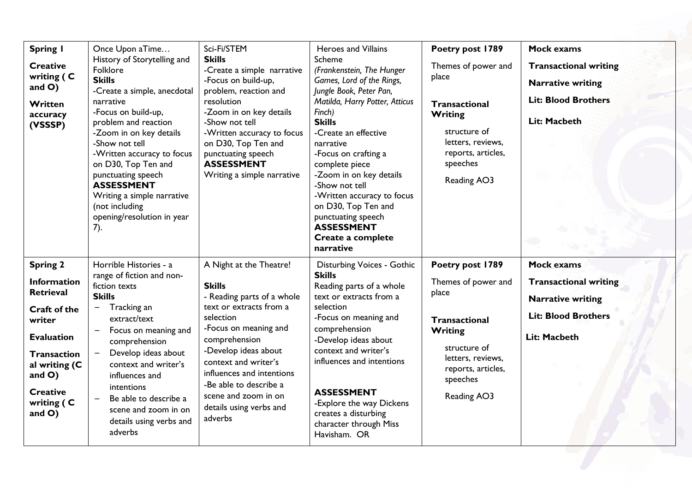| <b>Spring I</b><br><b>Creative</b><br>writing (C<br>and $O$ )<br>Written<br>accuracy<br>(VSSSP)                                                                                                            | Once Upon aTime<br>History of Storytelling and<br>Folklore<br><b>Skills</b><br>-Create a simple, anecdotal<br>narrative<br>-Focus on build-up,<br>problem and reaction<br>-Zoom in on key details<br>-Show not tell<br>-Written accuracy to focus<br>on D30, Top Ten and<br>punctuating speech<br><b>ASSESSMENT</b><br>Writing a simple narrative<br>(not including<br>opening/resolution in year<br>$(7)$ . | Sci-Fi/STEM<br><b>Skills</b><br>-Create a simple narrative<br>-Focus on build-up,<br>problem, reaction and<br>resolution<br>-Zoom in on key details<br>-Show not tell<br>-Written accuracy to focus<br>on D30, Top Ten and<br>punctuating speech<br><b>ASSESSMENT</b><br>Writing a simple narrative                           | <b>Heroes and Villains</b><br>Scheme<br>(Frankenstein, The Hunger<br>Games, Lord of the Rings,<br>Jungle Book, Peter Pan,<br>Matilda, Harry Potter, Atticus<br>Finch)<br><b>Skills</b><br>-Create an effective<br>narrative<br>-Focus on crafting a<br>complete piece<br>-Zoom in on key details<br>-Show not tell<br>-Written accuracy to focus<br>on D30, Top Ten and<br>punctuating speech<br><b>ASSESSMENT</b><br>Create a complete<br>narrative | Poetry post 1789<br>Themes of power and<br>place<br><b>Transactional</b><br><b>Writing</b><br>structure of<br>letters, reviews,<br>reports, articles,<br>speeches<br>Reading AO3 | <b>Mock exams</b><br><b>Transactional writing</b><br><b>Narrative writing</b><br><b>Lit: Blood Brothers</b><br>Lit: Macbeth |
|------------------------------------------------------------------------------------------------------------------------------------------------------------------------------------------------------------|--------------------------------------------------------------------------------------------------------------------------------------------------------------------------------------------------------------------------------------------------------------------------------------------------------------------------------------------------------------------------------------------------------------|-------------------------------------------------------------------------------------------------------------------------------------------------------------------------------------------------------------------------------------------------------------------------------------------------------------------------------|------------------------------------------------------------------------------------------------------------------------------------------------------------------------------------------------------------------------------------------------------------------------------------------------------------------------------------------------------------------------------------------------------------------------------------------------------|----------------------------------------------------------------------------------------------------------------------------------------------------------------------------------|-----------------------------------------------------------------------------------------------------------------------------|
| <b>Spring 2</b><br><b>Information</b><br><b>Retrieval</b><br>Craft of the<br>writer<br><b>Evaluation</b><br><b>Transaction</b><br>al writing (C<br>and $O$ )<br><b>Creative</b><br>writing (C<br>and $O$ ) | Horrible Histories - a<br>range of fiction and non-<br>fiction texts<br><b>Skills</b><br>Tracking an<br>$\overline{\phantom{m}}$<br>extract/text<br>Focus on meaning and<br>comprehension<br>Develop ideas about<br>$\overline{\phantom{m}}$<br>context and writer's<br>influences and<br>intentions<br>Be able to describe a<br>scene and zoom in on<br>details using verbs and<br>adverbs                  | A Night at the Theatre!<br><b>Skills</b><br>- Reading parts of a whole<br>text or extracts from a<br>selection<br>-Focus on meaning and<br>comprehension<br>-Develop ideas about<br>context and writer's<br>influences and intentions<br>-Be able to describe a<br>scene and zoom in on<br>details using verbs and<br>adverbs | <b>Disturbing Voices - Gothic</b><br><b>Skills</b><br>Reading parts of a whole<br>text or extracts from a<br>selection<br>-Focus on meaning and<br>comprehension<br>-Develop ideas about<br>context and writer's<br>influences and intentions<br><b>ASSESSMENT</b><br>-Explore the way Dickens<br>creates a disturbing<br>character through Miss<br>Havisham. OR                                                                                     | Poetry post 1789<br>Themes of power and<br>place<br><b>Transactional</b><br><b>Writing</b><br>structure of<br>letters, reviews,<br>reports, articles,<br>speeches<br>Reading AO3 | <b>Mock exams</b><br><b>Transactional writing</b><br><b>Narrative writing</b><br><b>Lit: Blood Brothers</b><br>Lit: Macbeth |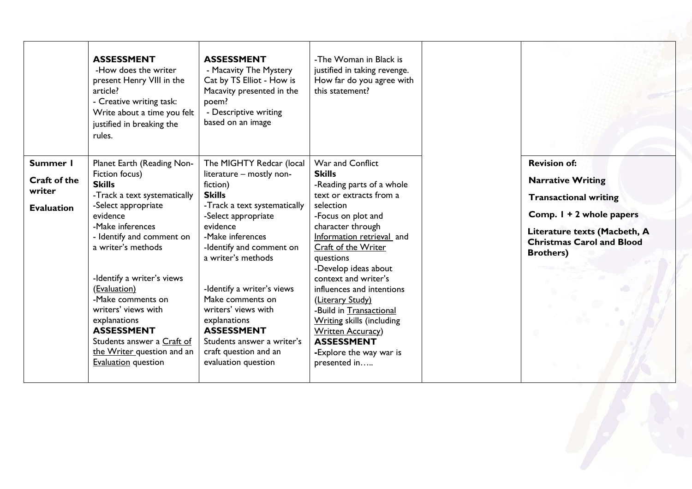|                                                         | <b>ASSESSMENT</b><br>-How does the writer<br>present Henry VIII in the<br>article?<br>- Creative writing task:<br>Write about a time you felt<br>justified in breaking the<br>rules.                                                                                                                                                                                                                                             | <b>ASSESSMENT</b><br>- Macavity The Mystery<br>Cat by TS Elliot - How is<br>Macavity presented in the<br>poem?<br>- Descriptive writing<br>based on an image                                                                                                                                                                                                                                                           | -The Woman in Black is<br>justified in taking revenge.<br>How far do you agree with<br>this statement?                                                                                                                                                                                                                                                                                                                                                                          |                                                                                                                                                                                                     |
|---------------------------------------------------------|----------------------------------------------------------------------------------------------------------------------------------------------------------------------------------------------------------------------------------------------------------------------------------------------------------------------------------------------------------------------------------------------------------------------------------|------------------------------------------------------------------------------------------------------------------------------------------------------------------------------------------------------------------------------------------------------------------------------------------------------------------------------------------------------------------------------------------------------------------------|---------------------------------------------------------------------------------------------------------------------------------------------------------------------------------------------------------------------------------------------------------------------------------------------------------------------------------------------------------------------------------------------------------------------------------------------------------------------------------|-----------------------------------------------------------------------------------------------------------------------------------------------------------------------------------------------------|
| Summer I<br>Craft of the<br>writer<br><b>Evaluation</b> | Planet Earth (Reading Non-<br>Fiction focus)<br><b>Skills</b><br>-Track a text systematically<br>-Select appropriate<br>evidence<br>-Make inferences<br>- Identify and comment on<br>a writer's methods<br>-Identify a writer's views<br>(Evaluation)<br>-Make comments on<br>writers' views with<br>explanations<br><b>ASSESSMENT</b><br>Students answer a Craft of<br>the Writer question and an<br><b>Evaluation</b> question | The MIGHTY Redcar (local<br>literature - mostly non-<br>fiction)<br><b>Skills</b><br>-Track a text systematically<br>-Select appropriate<br>evidence<br>-Make inferences<br>-Identify and comment on<br>a writer's methods<br>-Identify a writer's views<br>Make comments on<br>writers' views with<br>explanations<br><b>ASSESSMENT</b><br>Students answer a writer's<br>craft question and an<br>evaluation question | War and Conflict<br><b>Skills</b><br>-Reading parts of a whole<br>text or extracts from a<br>selection<br>-Focus on plot and<br>character through<br>Information retrieval and<br>Craft of the Writer<br>questions<br>-Develop ideas about<br>context and writer's<br>influences and intentions<br>(Literary Study)<br>-Build in Transactional<br><b>Writing skills (including</b><br><b>Written Accuracy</b> )<br><b>ASSESSMENT</b><br>-Explore the way war is<br>presented in | <b>Revision of:</b><br><b>Narrative Writing</b><br><b>Transactional writing</b><br>Comp. 1 + 2 whole papers<br>Literature texts (Macbeth, A<br><b>Christmas Carol and Blood</b><br><b>Brothers)</b> |